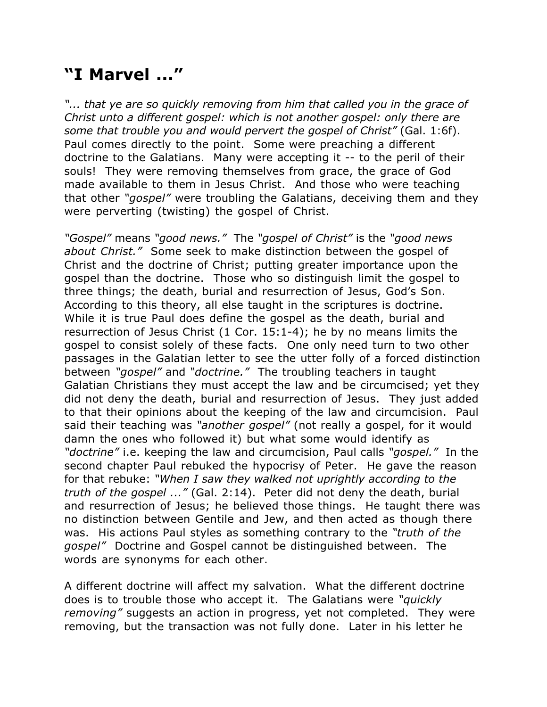## **"I Marvel ..."**

*"... that ye are so quickly removing from him that called you in the grace of Christ unto a different gospel: which is not another gospel: only there are some that trouble you and would pervert the gospel of Christ"* (Gal. 1:6f). Paul comes directly to the point. Some were preaching a different doctrine to the Galatians. Many were accepting it -- to the peril of their souls! They were removing themselves from grace, the grace of God made available to them in Jesus Christ. And those who were teaching that other *"gospel"* were troubling the Galatians, deceiving them and they were perverting (twisting) the gospel of Christ.

*"Gospel"* means *"good news."* The *"gospel of Christ"* is the *"good news about Christ."* Some seek to make distinction between the gospel of Christ and the doctrine of Christ; putting greater importance upon the gospel than the doctrine. Those who so distinguish limit the gospel to three things; the death, burial and resurrection of Jesus, God's Son. According to this theory, all else taught in the scriptures is doctrine. While it is true Paul does define the gospel as the death, burial and resurrection of Jesus Christ (1 Cor. 15:1-4); he by no means limits the gospel to consist solely of these facts. One only need turn to two other passages in the Galatian letter to see the utter folly of a forced distinction between *"gospel"* and *"doctrine."* The troubling teachers in taught Galatian Christians they must accept the law and be circumcised; yet they did not deny the death, burial and resurrection of Jesus. They just added to that their opinions about the keeping of the law and circumcision. Paul said their teaching was *"another gospel"* (not really a gospel, for it would damn the ones who followed it) but what some would identify as *"doctrine"* i.e. keeping the law and circumcision, Paul calls *"gospel."* In the second chapter Paul rebuked the hypocrisy of Peter. He gave the reason for that rebuke: *"When I saw they walked not uprightly according to the truth of the gospel ..."* (Gal. 2:14). Peter did not deny the death, burial and resurrection of Jesus; he believed those things. He taught there was no distinction between Gentile and Jew, and then acted as though there was. His actions Paul styles as something contrary to the *"truth of the gospel"* Doctrine and Gospel cannot be distinguished between. The words are synonyms for each other.

A different doctrine will affect my salvation. What the different doctrine does is to trouble those who accept it. The Galatians were *"quickly removing"* suggests an action in progress, yet not completed. They were removing, but the transaction was not fully done. Later in his letter he